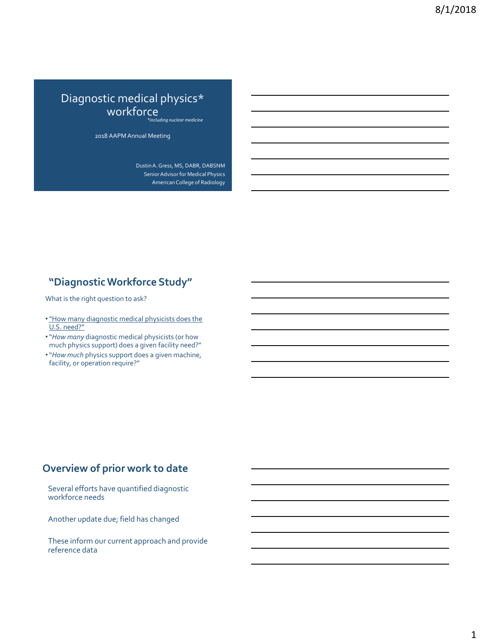### Diagnostic medical physics\* workforce *\*including nuclear medicine*

2018 AAPM Annual Meeting

Dustin A. Gress, MS, DABR, DABSNM Senior Advisor for Medical Physics American College of Radiology

#### **"Diagnostic Workforce Study"**

What is the right question to ask?

- •"How many diagnostic medical physicists does the U.S. need?"
- •"*How many* diagnostic medical physicists (or how much physics support) does a given facility need?"
- •"*How much* physics support does a given machine, facility, or operation require?"

#### **Overview of prior work to date**

Several efforts have quantified diagnostic workforce needs

Another update due; field has changed

These inform our current approach and provide reference data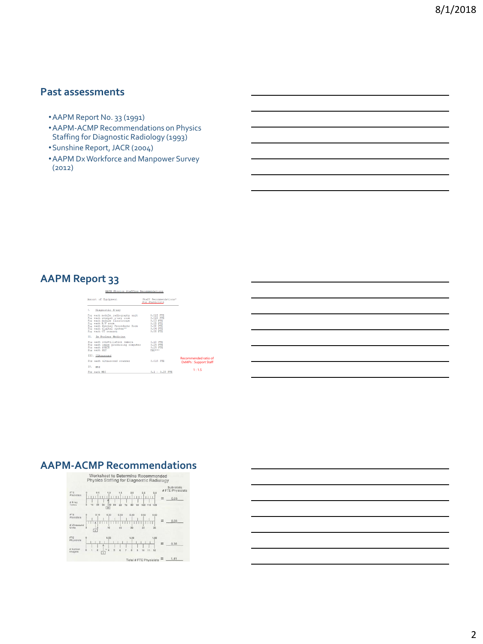#### **Past assessments**

- •AAPM Report No. 33 (1991)
- •AAPM-ACMP Recommendations on Physics Staffing for Diagnostic Radiology (1993)
- •Sunshine Report, JACR (2004)
- •AAPM DxWorkforce and Manpower Survey (2012)

### **AAPM Report 33**

| FM Phymics Stattimo Recommendation;<br>Amount of Equipment                                                                                                                                                  | Staff Recommendations*<br>For Physicists                                           |                             |
|-------------------------------------------------------------------------------------------------------------------------------------------------------------------------------------------------------------|------------------------------------------------------------------------------------|-----------------------------|
| I. Diagnostic X-ray                                                                                                                                                                                         |                                                                                    |                             |
| For each mobile radiography unit<br>For each general x-ray room<br>For each mobile fluoroscope<br>For each R/F room<br>For each Special Procedures Room<br>For each digital system**<br>For each C7 scanner | 0.015 FTE<br>0.015 FTE<br>0.03 FTE<br>0.05 FTE<br>0.08 FTE<br>0.04 FTR<br>0.08 FTR |                             |
| II. In Nuclear Medicine                                                                                                                                                                                     |                                                                                    |                             |
| For each scintillation camera<br>For each image processing computer<br>For each SPECT<br>For each PRT                                                                                                       | 0.10 FTR<br>0.25 FTE<br>$0.25$ FTE<br><b>TRD</b> ***                               |                             |
| III. Ultrasound                                                                                                                                                                                             |                                                                                    | Recommended ratio of        |
| For each ultrasound scanner                                                                                                                                                                                 | 0.015 FTR                                                                          | <b>DxMPs: Support Staff</b> |
| IV. MRI                                                                                                                                                                                                     |                                                                                    |                             |
| For each MRI                                                                                                                                                                                                | $0.1 - 0.25$ FTE                                                                   | $1 - 15$                    |

# **AAPM-ACMP Recommendations**<br> **AAPM-ACMP Recommended**<br> **Physics Staffing for Diagnostic Radiology**

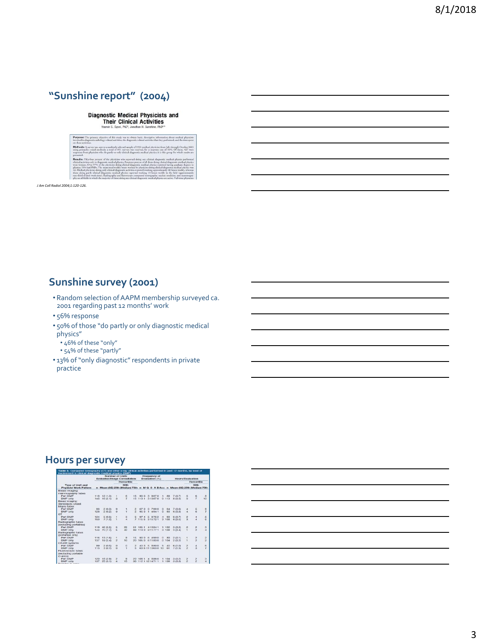### **"Sunshine report" (2004)**

# **Diagnostic Medical Physicists and<br>Their Clinical Activities**

| Purpose: The primary objective of this study was to obtain basic, descriptive information about medical physicists.<br>involved in diagnostic radiology-related activities, the diagnostic-related activities that they performed, and the time spent<br>on these activities.                                                                                                                                                                                                                                                                                                                                                                                                                                                                                                                                                                                                                                                                                                                                     |
|-------------------------------------------------------------------------------------------------------------------------------------------------------------------------------------------------------------------------------------------------------------------------------------------------------------------------------------------------------------------------------------------------------------------------------------------------------------------------------------------------------------------------------------------------------------------------------------------------------------------------------------------------------------------------------------------------------------------------------------------------------------------------------------------------------------------------------------------------------------------------------------------------------------------------------------------------------------------------------------------------------------------|
| Methods: A survey was sent to a randomly selected sample of 1511 medical physicists from July through October 2001.<br>using primarily e-mail methods a total of 851 surveys was received, for a response rate of 56%. Of these, 427 were<br>responses from physicists who do partly or only clinical diagnostic medical physics; it is this group for which results are<br>Antonious or                                                                                                                                                                                                                                                                                                                                                                                                                                                                                                                                                                                                                          |
| Results: Fifty-four percent of the physicism who reported doing any clinical diagnostic medical physics performed<br>clinical activities only in diagnostic medical physics. Fourteen percent of all those doing clinical diagnostic medical physics<br>were women. Over 97% of the physicists doing clinical diagnostic medical physics reported having graduate degrees in<br>physics; 53% had PhDs. The mean total weekly hours worked by physicists doing clinical diagnostic medical physics was<br>42. Medical physicists doing only clinical diagnostic activities reported working approximately 40 hours weekly, whereas<br>those doing partly clinical diagnostic medical physics reported working 14 hours weekly in the field (approximately<br>one-third of their work time). Radiography and fluoroscopy, computed tomography, nuclear medicine, and mammogra-<br>ply are all fields in which the majority of those doing any clinical diagnostic predical physics are active. Full-time physicists |

*J Am Coll Radiol 2004;1:120-126.*

#### **Sunshine survey (2001)**

- Random selection of AAPM membership surveyed ca. 2001 regarding past 12 months' work
- 56% response
- 50% of those "do partly or only diagnostic medical physics"
	- 46% of these "only"
	- 54% of these "partly"
- 13% of "only diagnostic" respondents in private practice

#### **Hours per survey**

|                                                        | Number of Units<br><b>Evaluated/Image Consultation</b> |          |                |                         |                 |                     | Frequency of<br>Evaluation (%) |              |  | Hours/Evaluation       |              |          |                                                                               |                |                         |                |
|--------------------------------------------------------|--------------------------------------------------------|----------|----------------|-------------------------|-----------------|---------------------|--------------------------------|--------------|--|------------------------|--------------|----------|-------------------------------------------------------------------------------|----------------|-------------------------|----------------|
|                                                        |                                                        |          |                | Percentile              |                 |                     |                                |              |  |                        |              |          |                                                                               | Porcentile     |                         |                |
| Type of Unit and                                       |                                                        |          | <b>SOfty</b>   |                         |                 |                     |                                |              |  | <b>SOfty</b>           |              |          |                                                                               |                |                         |                |
| <b>Physicist Work Pattern</b>                          |                                                        |          |                |                         |                 |                     |                                |              |  |                        |              |          | n Mean (SE) 25th (Median) 75th n M Q S A B Acc n Mean (SE) 25th (Median) 75th |                |                         |                |
| Breast imaging:<br>mammography tubes                   |                                                        |          |                |                         |                 |                     |                                |              |  |                        |              |          |                                                                               |                |                         |                |
| Part DMP                                               | 118                                                    | 12(1.3)  |                | 6                       | 16              | 90.0                |                                |              |  | 3.9870                 | 1            | 89       | 7(0.7)                                                                        | s              | 6                       | $\hat{a}$      |
| DMP only                                               | 145                                                    | 16(2.1)  | 3              | ÷                       |                 | 15 113 1            |                                |              |  | 310870                 |              | 0.113    | 8(0.5)                                                                        | ĸ              | Э                       | 10             |
| Breast Imaging:<br>stereotactic typest<br>bionsy tubes |                                                        |          |                |                         |                 |                     |                                |              |  |                        |              |          |                                                                               |                |                         |                |
| Part DMP                                               | Q <sub>3</sub>                                         | 2(0.3)   | $\alpha$       |                         | $\mathfrak{D}$  | 67.0                |                                | $\Omega$     |  | 7900                   | $\mathbf{3}$ | 64       | 7.10.65                                                                       |                |                         |                |
| DMP only                                               | 128                                                    | 2(0.2)   | $\alpha$       |                         | $\circ$         | 95.0                |                                | $\mathbf{r}$ |  | 4941                   | $\alpha$     | 9.3      | 6 (0.3)                                                                       | ۵<br>ä         | $\frac{6}{6}$           | $\frac{8}{7}$  |
| CT                                                     |                                                        |          |                |                         |                 |                     |                                |              |  |                        |              |          |                                                                               |                |                         |                |
| Part DMP                                               | 124                                                    | 5(0.5)   | ч              | $\overline{\mathbf{a}}$ | $\mathbf{f}$    | Q7.4                |                                |              |  | <b>G.R762</b>          | a.           | $\alpha$ | 6.10.71                                                                       | 2              | 4                       | $\frac{6}{6}$  |
| DMP only                                               | 150                                                    | 7(1,0)   |                | ×                       |                 | 7 115 6 315 72 1    |                                |              |  |                        |              | 3.108    | 6.0.51                                                                        | з              | ä                       |                |
| Radiographic fubes<br>(excluding portables)            |                                                        |          |                |                         |                 |                     |                                |              |  |                        |              |          |                                                                               |                |                         |                |
| Part DMP                                               | 110                                                    | 42 (5.5) | Б              | 25                      |                 | 51 105 1            |                                |              |  | 410841                 |              | 1 102    | 3(0.2)                                                                        | 2              | $\overline{z}$          | а              |
| DMP only                                               | 144                                                    | 70 (7.7) | ä              | 42                      |                 | 89 113 0            |                                |              |  | 911771                 |              | 3.108    | (0.4)                                                                         | ٠              | b                       | ٠              |
| Radiographic tubes<br>(portables only)                 |                                                        |          |                |                         |                 |                     |                                |              |  |                        |              |          |                                                                               |                |                         |                |
| Part DMP                                               | 116                                                    | 13(1.6)  | Ŧ              | 8                       | 15              | 000                 |                                |              |  | 6 490 0                | $\circ$      | RQ       | 2(0.1)                                                                        | $\mathbf{A}$   | $\overline{\mathbf{z}}$ | $\frac{2}{2}$  |
| DMP only                                               | 137                                                    | 19(2.4)  | $\overline{2}$ | 10                      | 20 <sub>o</sub> | 105.0               |                                |              |  | 611830                 |              | 0,104    | 2(0.2)                                                                        | $\cdot$        | $\overline{2}$          |                |
| CR-DR systems                                          |                                                        |          |                |                         |                 |                     |                                |              |  |                        |              |          |                                                                               |                |                         |                |
| Part DMP                                               | 89                                                     | 2(0.5)   | $\circ$        | $\circ$                 | $\alpha$        |                     |                                |              |  | 403 5 8800             | 5            | 40       | 6.11.05                                                                       | $\overline{z}$ | ă                       | $\frac{6}{7}$  |
| DMP only                                               | 113                                                    | 3(0.7)   | $\alpha$       | 1                       | s.              |                     |                                |              |  | 63 6 1110630 10        |              | 61       | 7(1.5)                                                                        | $\overline{a}$ |                         |                |
| Fluoroscopic tubes<br>(excluding portable<br>C-armsi   |                                                        |          |                |                         |                 |                     |                                |              |  |                        |              |          |                                                                               |                |                         |                |
| Part DMP                                               | 120                                                    | 18 (2.0) | 2              |                         |                 | 20 106 1            |                                |              |  | $A$ <i><b>BBBO</b></i> | ٠            | 104      | 3.00.21                                                                       | $\overline{2}$ |                         |                |
| DMP only                                               | 137                                                    | 26(3,1)  | ä              | 16                      |                 | 30 112 1 12 14 71 1 |                                |              |  |                        | ٦.           | 109      | 3.00.31                                                                       | 5              | $\frac{12}{2}$          | $\overline{a}$ |
| and the problems of the control of the control of      |                                                        |          |                |                         |                 |                     |                                |              |  |                        |              |          |                                                                               |                |                         |                |

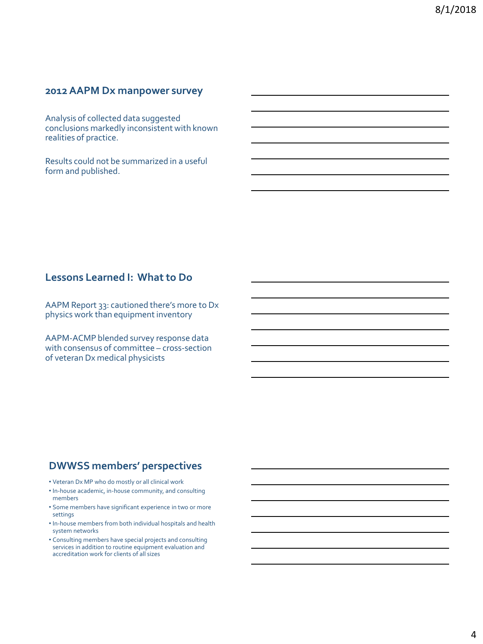#### **2012 AAPM Dx manpower survey**

Analysis of collected data suggested conclusions markedly inconsistent with known realities of practice.

Results could not be summarized in a useful form and published.

#### **Lessons Learned I: What to Do**

AAPM Report 33: cautioned there's more to Dx physics work than equipment inventory

AAPM-ACMP blended survey response data with consensus of committee – cross-section of veteran Dx medical physicists

#### **DWWSS members' perspectives**

- Veteran Dx MP who do mostly or all clinical work
- In-house academic, in-house community, and consulting members
- Some members have significant experience in two or more settings
- In-house members from both individual hospitals and health system networks
- Consulting members have special projects and consulting services in addition to routine equipment evaluation and accreditation work for clients of all sizes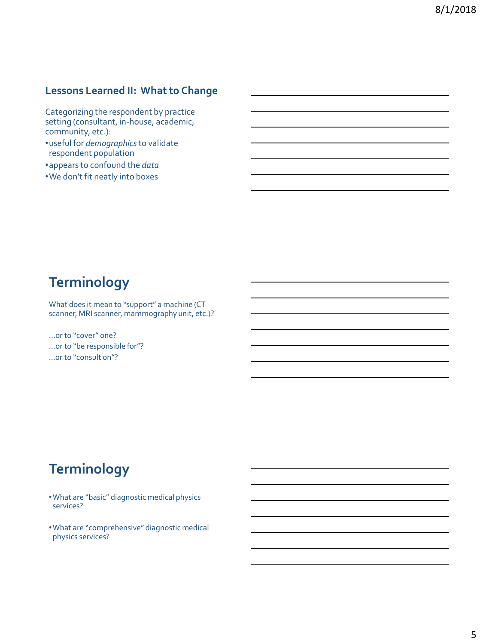### **Lessons Learned II: What to Change**

Categorizing the respondent by practice setting (consultant, in-house, academic, community, etc.):

- •useful for *demographics*to validate respondent population
- •appears to confound the *data*
- •We don't fit neatly into boxes

### **Terminology**

What does it mean to "support" a machine (CT scanner, MRI scanner, mammography unit, etc.)?

…or to "cover" one? …or to "be responsible for"? ...or to "consult on"?

# **Terminology**

- •What are "basic" diagnostic medical physics services?
- •What are "comprehensive" diagnostic medical physics services?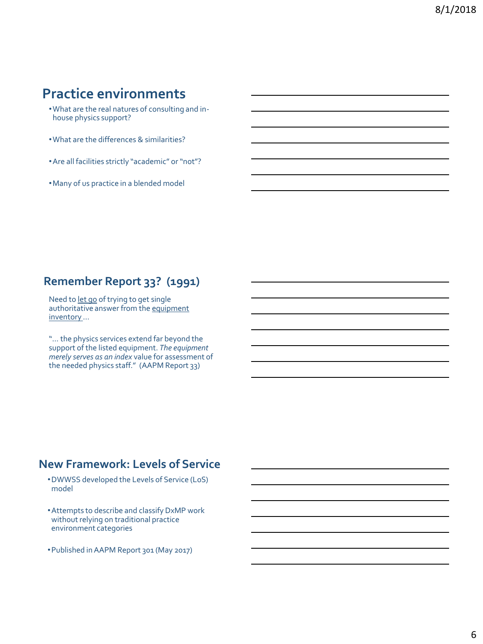# **Practice environments**

- •What are the real natures of consulting and inhouse physics support?
- •What are the differences & similarities?
- •Are all facilities strictly "academic" or "not"?
- •Many of us practice in a blended model

### **Remember Report 33? (1991)**

Need to let go of trying to get single authoritative answer from the equipment inventory …

"... the physics services extend far beyond the support of the listed equipment. *The equipment merely serves as an index* value for assessment of the needed physics staff." (AAPM Report 33)

#### **New Framework: Levels of Service**

- •DWWSS developed the Levels of Service (LoS) model
- •Attempts to describe and classify DxMP work without relying on traditional practice environment categories
- •Published in AAPM Report 301 (May 2017)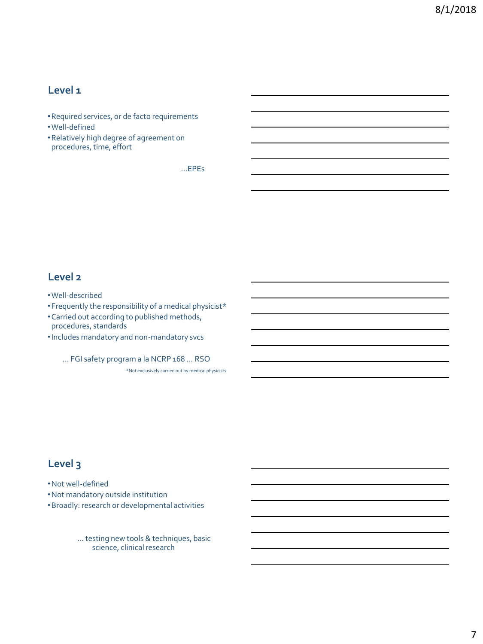#### **Level 1**

- •Required services, or de facto requirements
- •Well-defined
- •Relatively high degree of agreement on procedures, time, effort

…EPEs

#### **Level 2**

- •Well-described
- •Frequently the responsibility of a medical physicist\*
- •Carried out according to published methods, procedures, standards
- •Includes mandatory and non-mandatory svcs

… FGI safety program a la NCRP 168 ... RSO

\*Not exclusively carried out by medical physicists

#### **Level 3**

- •Not well-defined
- •Not mandatory outside institution
- •Broadly: research or developmental activities
	- … testing new tools & techniques, basic science, clinical research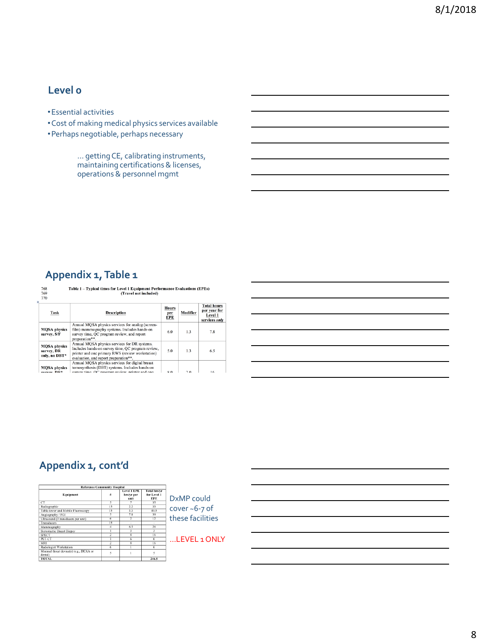#### **Level 0**

- •Essential activities
- •Cost of making medical physics services available
- •Perhaps negotiable, perhaps necessary
	- … getting CE, calibrating instruments, maintaining certifications & licenses, operations & personnel mgmt

### **Appendix 1, Table 1**

768<br>769<br>770

Table 1 – Typical times for Level 1 Equipment Performance Evaluations (EPEs)<br>(Travel not included)

| Task                                               | <b>Description</b>                                                                                                                                                                             | <b>Hours</b><br>per<br><u>EPE</u> | Modifier | <b>Total hours</b><br>per year for<br>Level 1<br>services only |  |
|----------------------------------------------------|------------------------------------------------------------------------------------------------------------------------------------------------------------------------------------------------|-----------------------------------|----------|----------------------------------------------------------------|--|
| <b>MQSA</b> physics<br>survey, S/F                 | Annual MQSA physics services for analog (screen-<br>film) mammography systems. Includes hands-on<br>survey time, OC program review, and report<br>preparation**.                               | 6.0                               | 1.3      | 7.8                                                            |  |
| <b>MQSA</b> physics<br>survey, DR<br>only, no DBT* | Annual MOSA physics services for DR systems.<br>Includes hands-on survey time, QC program review,<br>printer and one primary RWS (review workstation)<br>evaluation, and report preparation**. | 5.0                               | 1.3      | 6.5                                                            |  |
| <b>MOSA</b> physics<br>$m_{\rm max}$ $\bf{D}$ *    | Annual MOSA physics services for digital breast<br>tomosynthesis (DBT) systems. Includes hands-on<br>entray time. OC program raviaw, printer and one                                           | 90                                | 20       | 16                                                             |  |

### **Appendix 1, cont'd**

|                                                    | Reference Community Hospital |                                   |                                                  |             |  |  |  |
|----------------------------------------------------|------------------------------|-----------------------------------|--------------------------------------------------|-------------|--|--|--|
| Equipment                                          | ₩                            | Level 1 EPE<br>hrs/vr per<br>unit | <b>Total hrs/vr</b><br>for Level 1<br><b>EPE</b> | <b>DxMF</b> |  |  |  |
| CT                                                 | 3                            |                                   | 35                                               |             |  |  |  |
| Radiographic                                       | 15                           | 2.2                               | 33                                               | cover       |  |  |  |
| Table-tower and Mobile Fluoroscopy                 | $\overline{15}$              | 3.3                               | 49.5                                             |             |  |  |  |
| Angiography / FGI                                  | ξ                            | 7.8                               | 39                                               |             |  |  |  |
| Ultrasound (3 transducers per unit)                | 6                            |                                   | 12                                               | these       |  |  |  |
| Transducers                                        | 18                           | ٠                                 |                                                  |             |  |  |  |
| Mammography                                        | 4                            | 6.5                               | $\overline{26}$                                  |             |  |  |  |
| Stereotactic Breast Biopsy                         |                              | 3                                 | 3                                                |             |  |  |  |
| <b>SPECT</b>                                       |                              | 8                                 | 16                                               |             |  |  |  |
| PET-CT                                             |                              | 6                                 | 6                                                | …I F\       |  |  |  |
| MRI                                                |                              | $\bf{8}$                          | 16                                               |             |  |  |  |
| Radiologist Workstation                            | 6                            |                                   | 6                                                |             |  |  |  |
| Minimal threat device(s) (e.g., DEXA or<br>dental) | 5                            |                                   | 5                                                |             |  |  |  |
| <b>TOTAL</b>                                       |                              |                                   | 246.5                                            |             |  |  |  |

P could  $r - 6 - 7$  of **facilities** 

VEL 1 ONLY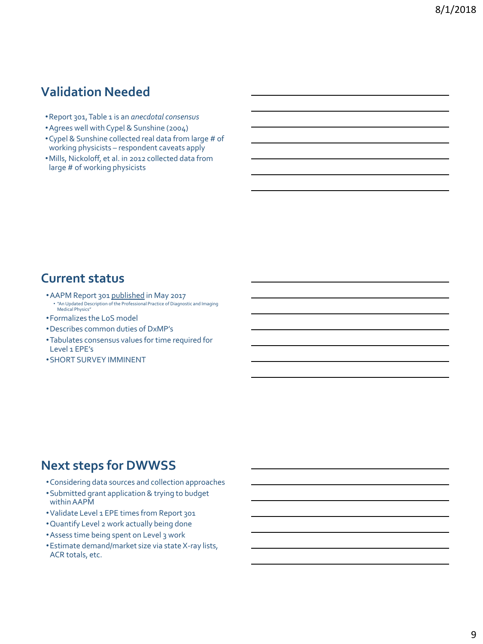# **Validation Needed**

- •Report 301, Table 1 is an *anecdotal consensus*
- •Agrees well with Cypel & Sunshine (2004)
- •Cypel & Sunshine collected real data from large # of working physicists – respondent caveats apply
- •Mills, Nickoloff, et al. in 2012 collected data from large # of working physicists

### **Current status**

- •AAPM Report 301 published in May 2017 • "An Updated Description of the Professional Practice of Diagnostic and Imaging Medical Physics"
- •Formalizes the LoS model
- •Describes common duties of DxMP's
- •Tabulates consensus values for time required for Level 1 EPE's
- •SHORT SURVEY IMMINENT

### **Next steps for DWWSS**

- •Considering data sources and collection approaches
- •Submitted grant application & trying to budget within AAPM
- •Validate Level 1 EPE times from Report 301
- •Quantify Level 2 work actually being done
- •Assess time being spent on Level 3 work
- •Estimate demand/market size via state X-ray lists, ACR totals, etc.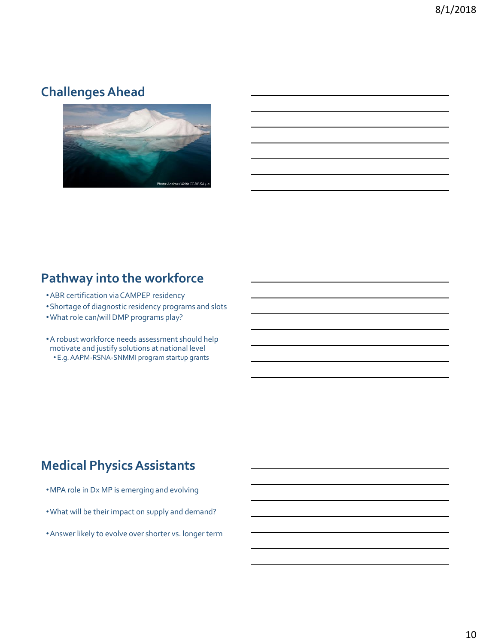### **Challenges Ahead**



### **Pathway into the workforce**

- •ABR certification via CAMPEP residency
- •Shortage of diagnostic residency programs and slots
- •What role can/will DMP programs play?
- •A robust workforce needs assessment should help motivate and justify solutions at national level • E.g. AAPM-RSNA-SNMMI program startup grants

### **Medical Physics Assistants**

- •MPA role in Dx MP is emerging and evolving
- •What will be their impact on supply and demand?
- •Answer likely to evolve over shorter vs. longer term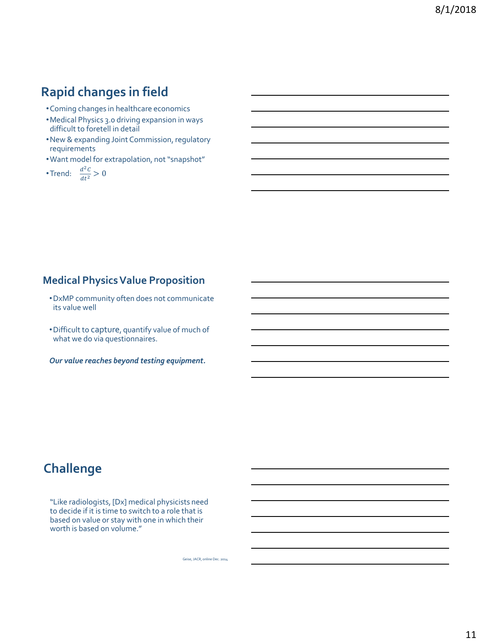# **Rapid changes in field**

- •Coming changes in healthcare economics
- •Medical Physics 3.0 driving expansion in ways difficult to foretell in detail
- •New & expanding Joint Commission, regulatory requirements
- •Want model for extrapolation, not "snapshot"
- Trend:  $\frac{d^2C}{dt^2}$  $\frac{u}{dt^2} > 0$

#### **Medical Physics Value Proposition**

- •DxMP community often does not communicate its value well
- •Difficult to capture, quantify value of much of what we do via questionnaires.
- *Our value reaches beyond testing equipment.*

# **Challenge**

"Like radiologists, [Dx] medical physicists need to decide if it is time to switch to a role that is based on value or stay with one in which their worth is based on volume."

Geise, JACR, online Dec. 2014